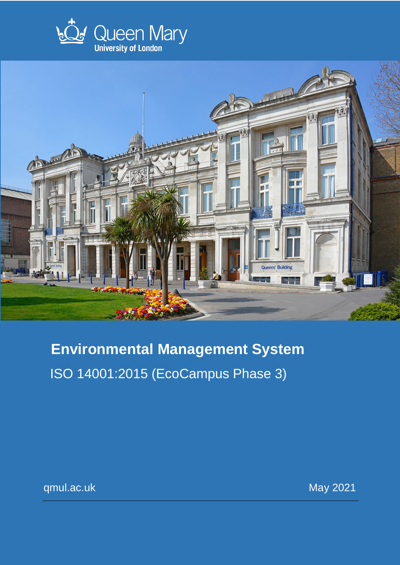



# **Environmental Management System** ISO 14001:2015 (EcoCampus Phase 3)

qmul.ac.uk May 2021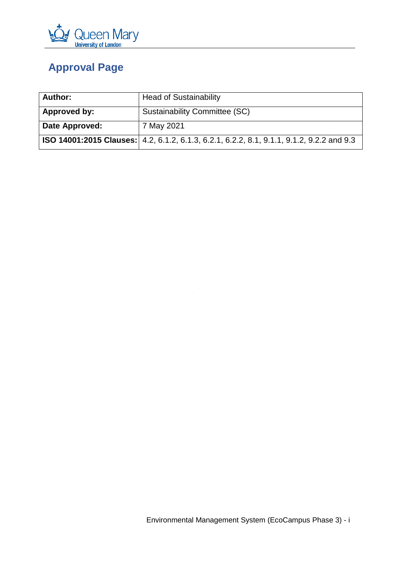

# <span id="page-1-0"></span>**Approval Page**

| <b>Author:</b> | <b>Head of Sustainability</b>                                                                    |  |  |
|----------------|--------------------------------------------------------------------------------------------------|--|--|
| Approved by:   | Sustainability Committee (SC)                                                                    |  |  |
| Date Approved: | 7 May 2021                                                                                       |  |  |
|                | <b>ISO 14001:2015 Clauses:</b> 4.2, 6.1.2, 6.1.3, 6.2.1, 6.2.2, 8.1, 9.1.1, 9.1.2, 9.2.2 and 9.3 |  |  |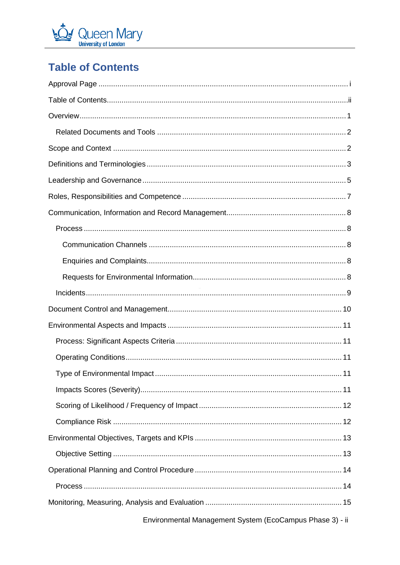

# <span id="page-2-0"></span>**Table of Contents**

| Environmental Management System (EcoCampus Phase 3) - ii |
|----------------------------------------------------------|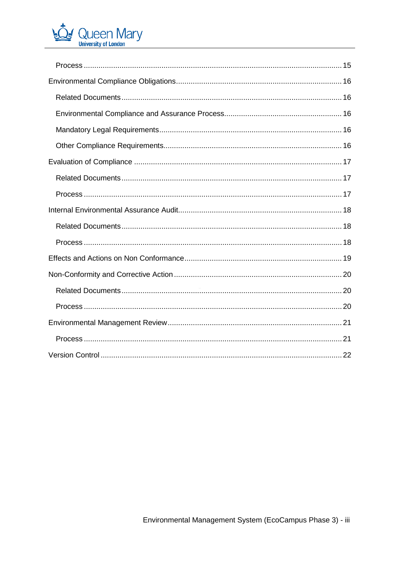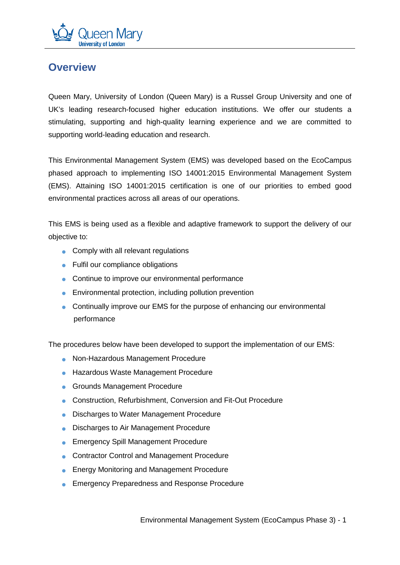

### <span id="page-4-0"></span>**Overview**

Queen Mary, University of London (Queen Mary) is a Russel Group University and one of UK's leading research-focused higher education institutions. We offer our students a stimulating, supporting and high-quality learning experience and we are committed to supporting world-leading education and research.

This Environmental Management System (EMS) was developed based on the EcoCampus phased approach to implementing ISO 14001:2015 Environmental Management System (EMS). Attaining ISO 14001:2015 certification is one of our priorities to embed good environmental practices across all areas of our operations.

This EMS is being used as a flexible and adaptive framework to support the delivery of our objective to:

- Comply with all relevant regulations
- Fulfil our compliance obligations
- Continue to improve our environmental performance
- $\bullet$  Environmental protection, including pollution prevention
- Continually improve our EMS for the purpose of enhancing our environmental performance

The procedures below have been developed to support the implementation of our EMS:

- Non-Hazardous Management Procedure
- Hazardous Waste Management Procedure
- Grounds Management Procedure
- Construction, Refurbishment, Conversion and Fit-Out Procedure
- Discharges to Water Management Procedure
- Discharges to Air Management Procedure
- Emergency Spill Management Procedure
- Contractor Control and Management Procedure
- Energy Monitoring and Management Procedure
- Emergency Preparedness and Response Procedure

Environmental Management System (EcoCampus Phase 3) - 1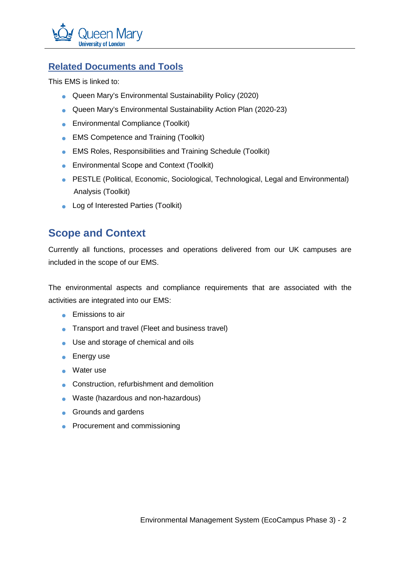

### <span id="page-5-0"></span>**Related Documents and Tools**

This EMS is linked to:

- Queen Mary's Environmental Sustainability Policy (2020)
- Queen Mary's Environmental Sustainability Action Plan (2020-23)
- Environmental Compliance (Toolkit)
- EMS Competence and Training (Toolkit)
- EMS Roles, Responsibilities and Training Schedule (Toolkit)
- Environmental Scope and Context (Toolkit)
- PESTLE (Political, Economic, Sociological, Technological, Legal and Environmental) Analysis (Toolkit)
- Log of Interested Parties (Toolkit)

### <span id="page-5-1"></span>**Scope and Context**

Currently all functions, processes and operations delivered from our UK campuses are included in the scope of our EMS.

The environmental aspects and compliance requirements that are associated with the activities are integrated into our EMS:

- **•** Emissions to air
- Transport and travel (Fleet and business travel)
- Use and storage of chemical and oils
- Energy use
- Water use
- Construction, refurbishment and demolition
- Waste (hazardous and non-hazardous)
- **•** Grounds and gardens
- Procurement and commissioning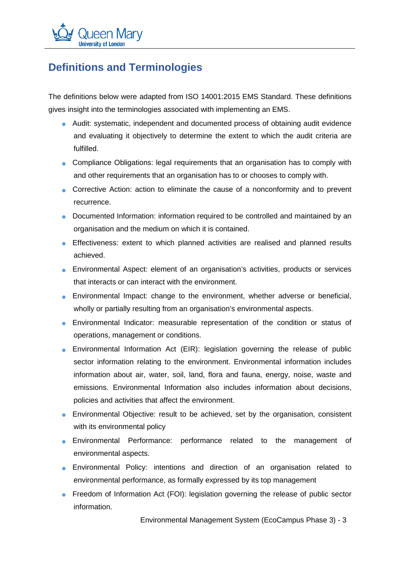

### <span id="page-6-0"></span>**Definitions and Terminologies**

The definitions below were adapted from ISO 14001:2015 EMS Standard. These definitions gives insight into the terminologies associated with implementing an EMS.

- Audit: systematic, independent and documented process of obtaining audit evidence and evaluating it objectively to determine the extent to which the audit criteria are fulfilled.
- Compliance Obligations: legal requirements that an organisation has to comply with and other requirements that an organisation has to or chooses to comply with.
- Corrective Action: action to eliminate the cause of a nonconformity and to prevent recurrence.
- Documented Information: information required to be controlled and maintained by an organisation and the medium on which it is contained.
- Effectiveness: extent to which planned activities are realised and planned results achieved.
- Environmental Aspect: element of an organisation's activities, products or services that interacts or can interact with the environment.
- Environmental Impact: change to the environment, whether adverse or beneficial, wholly or partially resulting from an organisation's environmental aspects.
- Environmental Indicator: measurable representation of the condition or status of operations, management or conditions.
- Environmental Information Act (EIR): legislation governing the release of public sector information relating to the environment. Environmental information includes information about air, water, soil, land, flora and fauna, energy, noise, waste and emissions. Environmental Information also includes information about decisions, policies and activities that affect the environment.
- Environmental Objective: result to be achieved, set by the organisation, consistent with its environmental policy
- Environmental Performance: performance related to the management of environmental aspects.
- Environmental Policy: intentions and direction of an organisation related to environmental performance, as formally expressed by its top management
- Freedom of Information Act (FOI): legislation governing the release of public sector information.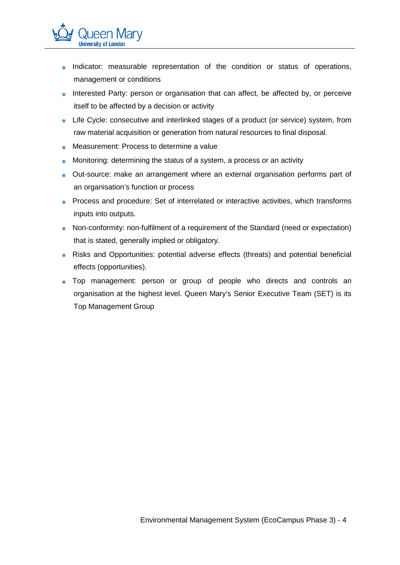

- Interested Party: person or organisation that can affect, be affected by, or perceive itself to be affected by a decision or activity
- Life Cycle: consecutive and interlinked stages of a product (or service) system, from raw material acquisition or generation from natural resources to final disposal.
- Measurement: Process to determine a value

<u> Jueen Marv</u>

**University of London** 

- Monitoring: determining the status of a system, a process or an activity
- Out-source: make an arrangement where an external organisation performs part of an organisation's function or process
- Process and procedure: Set of interrelated or interactive activities, which transforms inputs into outputs.
- Non-conformity: non-fulfilment of a requirement of the Standard (need or expectation) that is stated, generally implied or obligatory.
- Risks and Opportunities: potential adverse effects (threats) and potential beneficial effects (opportunities).
- Top management: person or group of people who directs and controls an organisation at the highest level. Queen Mary's Senior Executive Team (SET) is its Top Management Group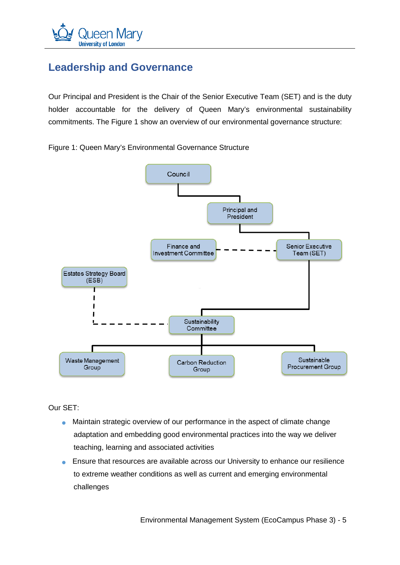

### <span id="page-8-0"></span>**Leadership and Governance**

Our Principal and President is the Chair of the Senior Executive Team (SET) and is the duty holder accountable for the delivery of Queen Mary's environmental sustainability commitments. The Figure 1 show an overview of our environmental governance structure:

Figure 1: Queen Mary's Environmental Governance Structure



Our SET:

- Maintain strategic overview of our performance in the aspect of climate change adaptation and embedding good environmental practices into the way we deliver teaching, learning and associated activities
- Ensure that resources are available across our University to enhance our resilience to extreme weather conditions as well as current and emerging environmental challenges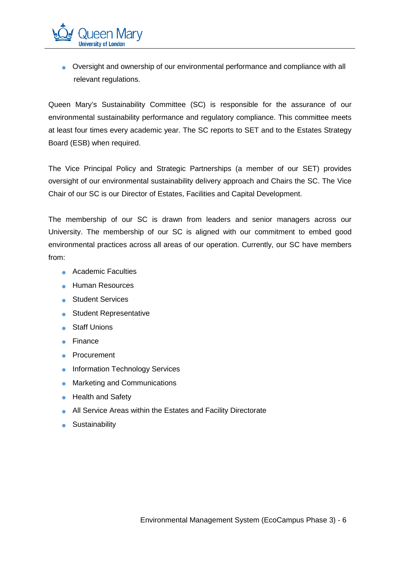

Queen Mary's Sustainability Committee (SC) is responsible for the assurance of our environmental sustainability performance and regulatory compliance. This committee meets at least four times every academic year. The SC reports to SET and to the Estates Strategy Board (ESB) when required.

The Vice Principal Policy and Strategic Partnerships (a member of our SET) provides oversight of our environmental sustainability delivery approach and Chairs the SC. The Vice Chair of our SC is our Director of Estates, Facilities and Capital Development.

The membership of our SC is drawn from leaders and senior managers across our University. The membership of our SC is aligned with our commitment to embed good environmental practices across all areas of our operation. Currently, our SC have members from:

• Academic Faculties

Jueen Marv

**University of London** 

- Human Resources
- Student Services
- Student Representative
- Staff Unions
- Finance
- Procurement
- Information Technology Services
- Marketing and Communications
- Health and Safety
- All Service Areas within the Estates and Facility Directorate
- **•** Sustainability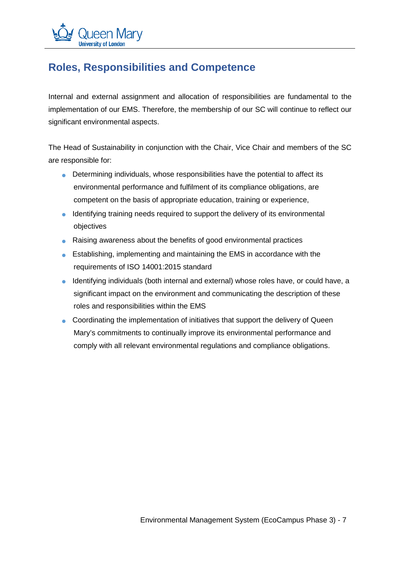

# <span id="page-10-0"></span>**Roles, Responsibilities and Competence**

Internal and external assignment and allocation of responsibilities are fundamental to the implementation of our EMS. Therefore, the membership of our SC will continue to reflect our significant environmental aspects.

The Head of Sustainability in conjunction with the Chair, Vice Chair and members of the SC are responsible for:

- Determining individuals, whose responsibilities have the potential to affect its environmental performance and fulfilment of its compliance obligations, are competent on the basis of appropriate education, training or experience,
- Identifying training needs required to support the delivery of its environmental objectives
- Raising awareness about the benefits of good environmental practices
- Establishing, implementing and maintaining the EMS in accordance with the requirements of ISO 14001:2015 standard
- Identifying individuals (both internal and external) whose roles have, or could have, a significant impact on the environment and communicating the description of these roles and responsibilities within the EMS
- Coordinating the implementation of initiatives that support the delivery of Queen Mary's commitments to continually improve its environmental performance and comply with all relevant environmental regulations and compliance obligations.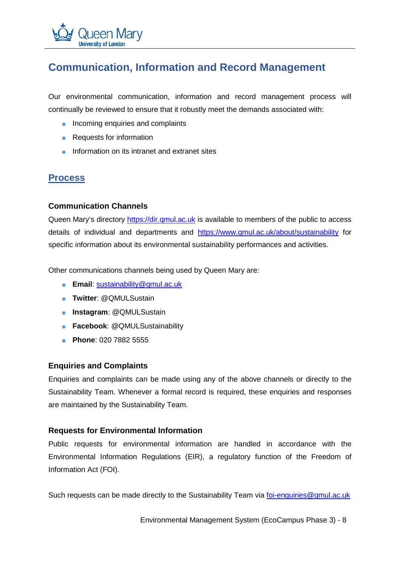# <span id="page-11-0"></span>**Communication, Information and Record Management**

Our environmental communication, information and record management process will continually be reviewed to ensure that it robustly meet the demands associated with:

- Incoming enquiries and complaints
- Requests for information
- Information on its intranet and extranet sites

### <span id="page-11-1"></span>**Process**

#### <span id="page-11-2"></span>**Communication Channels**

Queen Mary's directory [https://dir.qmul.ac.uk](https://dir.qmul.ac.uk/) is available to members of the public to access details of individual and departments and <https://www.qmul.ac.uk/about/sustainability> for specific information about its environmental sustainability performances and activities.

Other communications channels being used by Queen Mary are:

- **Email**: [sustainability@qmul.ac.uk](mailto:sustainability@qmul.ac.uk)
- **Twitter**: @QMULSustain
- **Instagram**: @QMULSustain
- **Facebook**: @QMULSustainability
- **Phone**: 020 7882 5555

#### <span id="page-11-3"></span>**Enquiries and Complaints**

Enquiries and complaints can be made using any of the above channels or directly to the Sustainability Team. Whenever a formal record is required, these enquiries and responses are maintained by the Sustainability Team.

#### <span id="page-11-4"></span>**Requests for Environmental Information**

Public requests for environmental information are handled in accordance with the Environmental Information Regulations (EIR), a regulatory function of the Freedom of Information Act (FOI).

Such requests can be made directly to the Sustainability Team via [foi-enquiries@qmul.ac.uk](mailto:foi-enquiries@qmul.ac.uk)

Environmental Management System (EcoCampus Phase 3) - 8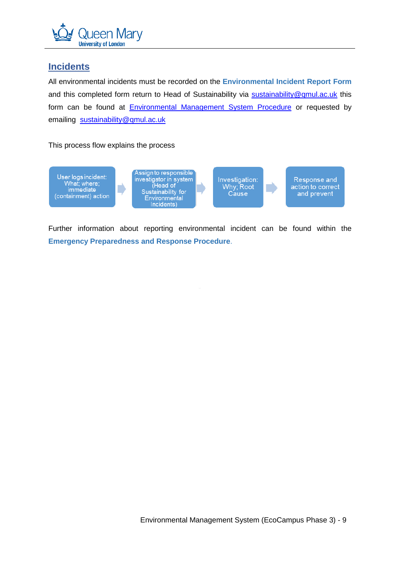

#### <span id="page-12-0"></span>**Incidents**

All environmental incidents must be recorded on the **Environmental Incident Report Form** and this completed form return to Head of Sustainability via [sustainability@qmul.ac.uk](mailto:sustainability@qmul.ac.uk) this form can be found at **[Environmental Management System Procedure](https://www.qmul.ac.uk/about/sustainability/environmental-management-system/ems-procedures/environmental-management-system-procedures/#d.en.890319)** or requested by emailing [sustainability@qmul.ac.uk](mailto:sustainability@qmul.ac.uk)

This process flow explains the process



Further information about reporting environmental incident can be found within the **Emergency Preparedness and Response Procedure**.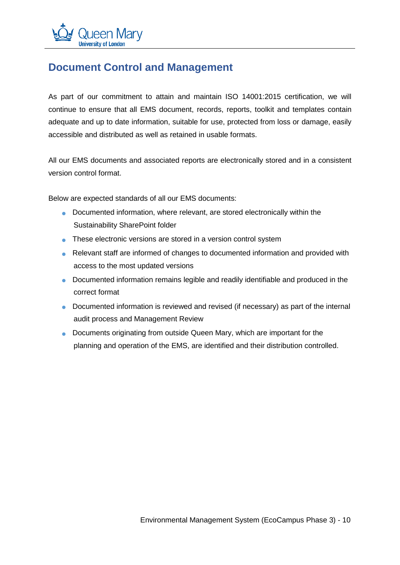

### <span id="page-13-0"></span>**Document Control and Management**

As part of our commitment to attain and maintain ISO 14001:2015 certification, we will continue to ensure that all EMS document, records, reports, toolkit and templates contain adequate and up to date information, suitable for use, protected from loss or damage, easily accessible and distributed as well as retained in usable formats.

All our EMS documents and associated reports are electronically stored and in a consistent version control format.

Below are expected standards of all our EMS documents:

- Documented information, where relevant, are stored electronically within the Sustainability SharePoint folder
- These electronic versions are stored in a version control system
- Relevant staff are informed of changes to documented information and provided with access to the most updated versions
- Documented information remains legible and readily identifiable and produced in the correct format
- Documented information is reviewed and revised (if necessary) as part of the internal audit process and Management Review
- Documents originating from outside Queen Mary, which are important for the planning and operation of the EMS, are identified and their distribution controlled.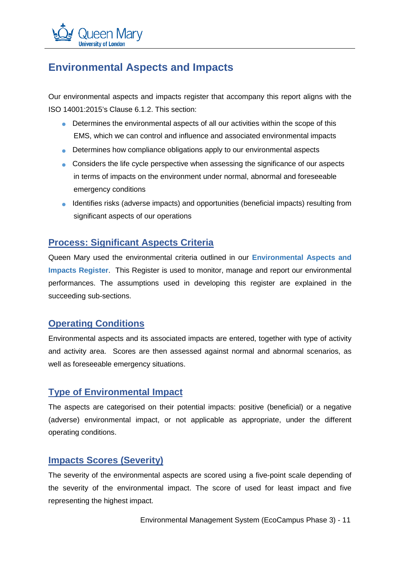

### <span id="page-14-0"></span>**Environmental Aspects and Impacts**

Our environmental aspects and impacts register that accompany this report aligns with the ISO 14001:2015's Clause 6.1.2. This section:

- Determines the environmental aspects of all our activities within the scope of this EMS, which we can control and influence and associated environmental impacts
- Determines how compliance obligations apply to our environmental aspects
- Considers the life cycle perspective when assessing the significance of our aspects in terms of impacts on the environment under normal, abnormal and foreseeable emergency conditions
- Identifies risks (adverse impacts) and opportunities (beneficial impacts) resulting from significant aspects of our operations

### <span id="page-14-1"></span>**Process: Significant Aspects Criteria**

Queen Mary used the environmental criteria outlined in our **Environmental Aspects and Impacts Register**. This Register is used to monitor, manage and report our environmental performances. The assumptions used in developing this register are explained in the succeeding sub-sections.

#### <span id="page-14-2"></span>**Operating Conditions**

Environmental aspects and its associated impacts are entered, together with type of activity and activity area. Scores are then assessed against normal and abnormal scenarios, as well as foreseeable emergency situations.

#### <span id="page-14-3"></span>**Type of Environmental Impact**

The aspects are categorised on their potential impacts: positive (beneficial) or a negative (adverse) environmental impact, or not applicable as appropriate, under the different operating conditions.

### <span id="page-14-4"></span>**Impacts Scores (Severity)**

The severity of the environmental aspects are scored using a five-point scale depending of the severity of the environmental impact. The score of used for least impact and five representing the highest impact.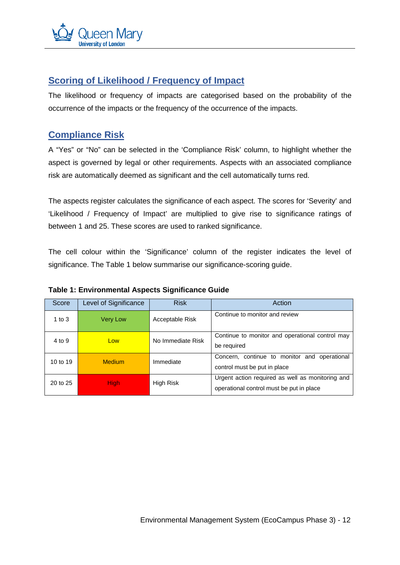

### <span id="page-15-0"></span>**Scoring of Likelihood / Frequency of Impact**

The likelihood or frequency of impacts are categorised based on the probability of the occurrence of the impacts or the frequency of the occurrence of the impacts.

### <span id="page-15-1"></span>**Compliance Risk**

A "Yes" or "No" can be selected in the 'Compliance Risk' column, to highlight whether the aspect is governed by legal or other requirements. Aspects with an associated compliance risk are automatically deemed as significant and the cell automatically turns red.

The aspects register calculates the significance of each aspect. The scores for 'Severity' and 'Likelihood / Frequency of Impact' are multiplied to give rise to significance ratings of between 1 and 25. These scores are used to ranked significance.

The cell colour within the 'Significance' column of the register indicates the level of significance. The Table 1 below summarise our significance-scoring guide.

| Score    | Level of Significance | <b>Risk</b>       | Action                                           |  |
|----------|-----------------------|-------------------|--------------------------------------------------|--|
| 1 to $3$ | <b>Very Low</b>       | Acceptable Risk   | Continue to monitor and review                   |  |
| 4 to 9   | Low                   | No Immediate Risk | Continue to monitor and operational control may  |  |
|          |                       |                   | be required                                      |  |
| 10 to 19 | Medium                | Immediate         | Concern, continue to monitor and<br>operational  |  |
|          |                       |                   | control must be put in place                     |  |
| 20 to 25 | <b>High</b>           | High Risk         | Urgent action required as well as monitoring and |  |
|          |                       |                   | operational control must be put in place         |  |

#### Table 1: Environmental Aspects Significance Guide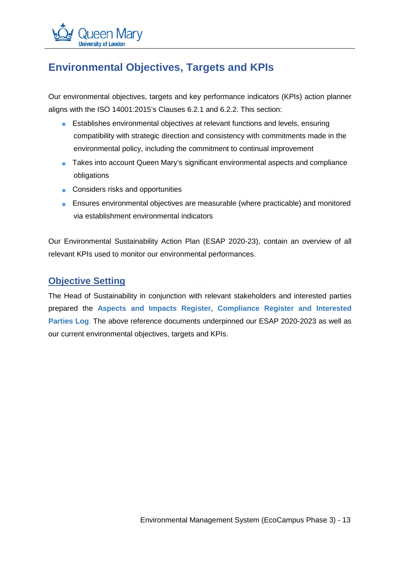# <span id="page-16-0"></span>**Environmental Objectives, Targets and KPIs**

Our environmental objectives, targets and key performance indicators (KPIs) action planner aligns with the ISO 14001:2015's Clauses 6.2.1 and 6.2.2. This section:

- Establishes environmental objectives at relevant functions and levels, ensuring compatibility with strategic direction and consistency with commitments made in the environmental policy, including the commitment to continual improvement
- Takes into account Queen Mary's significant environmental aspects and compliance obligations
- Considers risks and opportunities
- Ensures environmental objectives are measurable (where practicable) and monitored via establishment environmental indicators

Our Environmental Sustainability Action Plan (ESAP 2020-23), contain an overview of all relevant KPIs used to monitor our environmental performances.

#### <span id="page-16-1"></span>**Objective Setting**

The Head of Sustainability in conjunction with relevant stakeholders and interested parties prepared the **Aspects and Impacts Register, Compliance Register and Interested Parties Log**. The above reference documents underpinned our ESAP 2020-2023 as well as our current environmental objectives, targets and KPIs.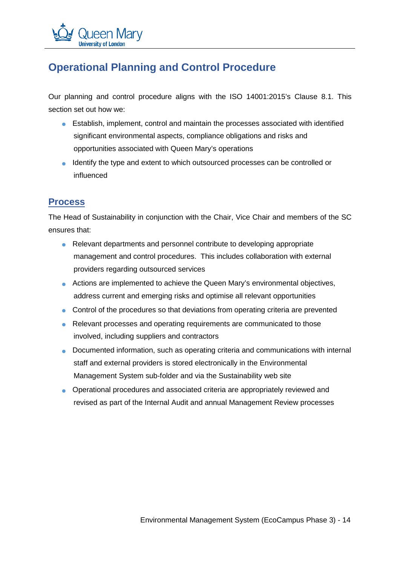# <span id="page-17-0"></span>**Operational Planning and Control Procedure**

Our planning and control procedure aligns with the ISO 14001:2015's Clause 8.1. This section set out how we:

- Establish, implement, control and maintain the processes associated with identified significant environmental aspects, compliance obligations and risks and opportunities associated with Queen Mary's operations
- Identify the type and extent to which outsourced processes can be controlled or influenced

### <span id="page-17-1"></span>**Process**

The Head of Sustainability in conjunction with the Chair, Vice Chair and members of the SC ensures that:

- Relevant departments and personnel contribute to developing appropriate management and control procedures. This includes collaboration with external providers regarding outsourced services
- Actions are implemented to achieve the Queen Mary's environmental objectives, address current and emerging risks and optimise all relevant opportunities
- Control of the procedures so that deviations from operating criteria are prevented
- Relevant processes and operating requirements are communicated to those involved, including suppliers and contractors
- Documented information, such as operating criteria and communications with internal staff and external providers is stored electronically in the Environmental Management System sub-folder and via the Sustainability web site
- Operational procedures and associated criteria are appropriately reviewed and revised as part of the Internal Audit and annual Management Review processes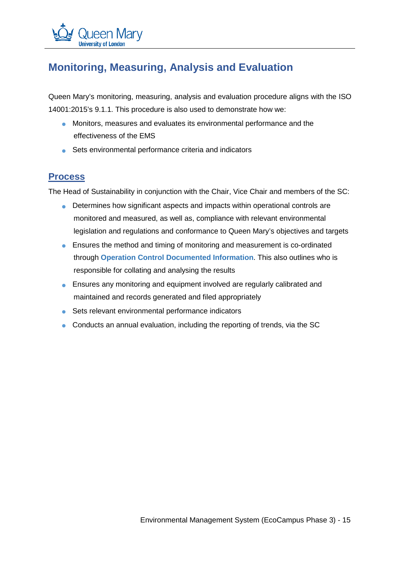

# <span id="page-18-0"></span>**Monitoring, Measuring, Analysis and Evaluation**

Queen Mary's monitoring, measuring, analysis and evaluation procedure aligns with the ISO 14001:2015's 9.1.1. This procedure is also used to demonstrate how we:

- Monitors, measures and evaluates its environmental performance and the effectiveness of the EMS
- Sets environmental performance criteria and indicators

#### <span id="page-18-1"></span>**Process**

The Head of Sustainability in conjunction with the Chair, Vice Chair and members of the SC:

- Determines how significant aspects and impacts within operational controls are monitored and measured, as well as, compliance with relevant environmental legislation and regulations and conformance to Queen Mary's objectives and targets
- Ensures the method and timing of monitoring and measurement is co-ordinated through **Operation Control Documented Information**. This also outlines who is responsible for collating and analysing the results
- Ensures any monitoring and equipment involved are regularly calibrated and maintained and records generated and filed appropriately
- Sets relevant environmental performance indicators
- Conducts an annual evaluation, including the reporting of trends, via the SC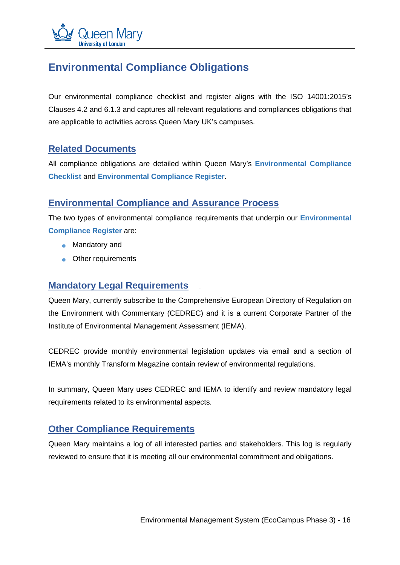

# <span id="page-19-0"></span>**Environmental Compliance Obligations**

Our environmental compliance checklist and register aligns with the ISO 14001:2015's Clauses 4.2 and 6.1.3 and captures all relevant regulations and compliances obligations that are applicable to activities across Queen Mary UK's campuses.

#### <span id="page-19-1"></span>**Related Documents**

All compliance obligations are detailed within Queen Mary's **Environmental Compliance Checklist** and **Environmental Compliance Register**.

#### <span id="page-19-2"></span>**Environmental Compliance and Assurance Process**

The two types of environmental compliance requirements that underpin our **Environmental Compliance Register** are:

- Mandatory and
- Other requirements

#### <span id="page-19-3"></span>**Mandatory Legal Requirements**

Queen Mary, currently subscribe to the Comprehensive European Directory of Regulation on the Environment with Commentary (CEDREC) and it is a current Corporate Partner of the Institute of Environmental Management Assessment (IEMA).

CEDREC provide monthly environmental legislation updates via email and a section of IEMA's monthly Transform Magazine contain review of environmental regulations.

In summary, Queen Mary uses CEDREC and IEMA to identify and review mandatory legal requirements related to its environmental aspects.

### <span id="page-19-4"></span>**Other Compliance Requirements**

Queen Mary maintains a log of all interested parties and stakeholders. This log is regularly reviewed to ensure that it is meeting all our environmental commitment and obligations.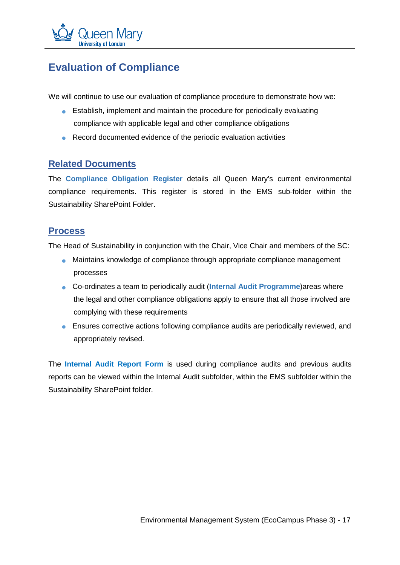

# <span id="page-20-0"></span>**Evaluation of Compliance**

We will continue to use our evaluation of compliance procedure to demonstrate how we:

- Establish, implement and maintain the procedure for periodically evaluating compliance with applicable legal and other compliance obligations
- Record documented evidence of the periodic evaluation activities

#### <span id="page-20-1"></span>**Related Documents**

The **Compliance Obligation Register** details all Queen Mary's current environmental compliance requirements. This register is stored in the EMS sub-folder within the Sustainability SharePoint Folder.

#### <span id="page-20-2"></span>**Process**

The Head of Sustainability in conjunction with the Chair, Vice Chair and members of the SC:

- Maintains knowledge of compliance through appropriate compliance management processes
- **Co-ordinates a team to periodically audit (Internal Audit Programme)areas where** the legal and other compliance obligations apply to ensure that all those involved are complying with these requirements
- Ensures corrective actions following compliance audits are periodically reviewed, and appropriately revised.

The **Internal Audit Report Form** is used during compliance audits and previous audits reports can be viewed within the Internal Audit subfolder, within the EMS subfolder within the Sustainability SharePoint folder.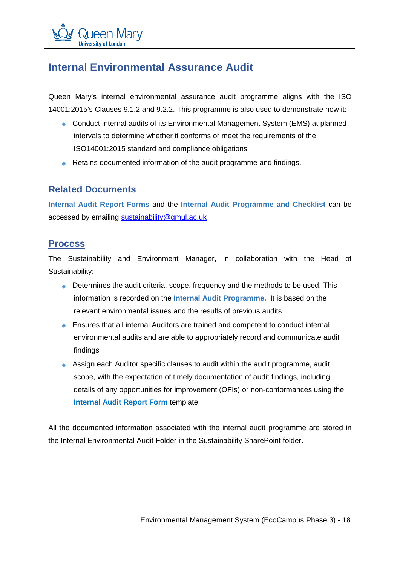# <span id="page-21-0"></span>**Internal Environmental Assurance Audit**

Queen Mary's internal environmental assurance audit programme aligns with the ISO 14001:2015's Clauses 9.1.2 and 9.2.2. This programme is also used to demonstrate how it:

- Conduct internal audits of its Environmental Management System (EMS) at planned intervals to determine whether it conforms or meet the requirements of the ISO14001:2015 standard and compliance obligations
- Retains documented information of the audit programme and findings.

#### <span id="page-21-1"></span>**Related Documents**

**Internal Audit Report Forms** and the **Internal Audit Programme and Checklist** can be accessed by emailing [sustainability@qmul.ac.uk](mailto:sustainability@qmul.ac.uk)

#### <span id="page-21-2"></span>**Process**

The Sustainability and Environment Manager, in collaboration with the Head of Sustainability:

- $\bullet$  Determines the audit criteria, scope, frequency and the methods to be used. This information is recorded on the **Internal Audit Programme.** It is based on the relevant environmental issues and the results of previous audits
- Ensures that all internal Auditors are trained and competent to conduct internal environmental audits and are able to appropriately record and communicate audit findings
- Assign each Auditor specific clauses to audit within the audit programme, audit scope, with the expectation of timely documentation of audit findings, including details of any opportunities for improvement (OFIs) or non-conformances using the **Internal Audit Report Form** template

All the documented information associated with the internal audit programme are stored in the Internal Environmental Audit Folder in the Sustainability SharePoint folder.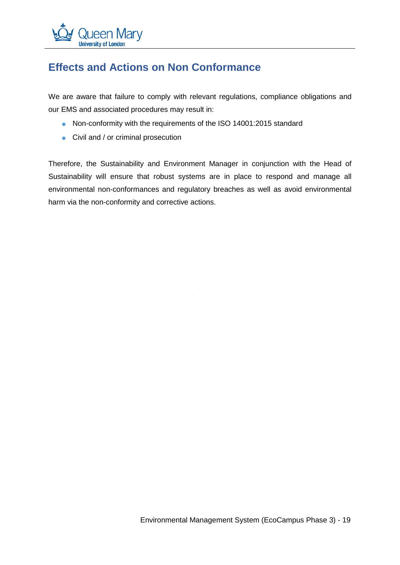# <span id="page-22-0"></span>**Effects and Actions on Non Conformance**

We are aware that failure to comply with relevant regulations, compliance obligations and our EMS and associated procedures may result in:

- Non-conformity with the requirements of the ISO 14001:2015 standard
- Civil and / or criminal prosecution

Therefore, the Sustainability and Environment Manager in conjunction with the Head of Sustainability will ensure that robust systems are in place to respond and manage all environmental non-conformances and regulatory breaches as well as avoid environmental harm via the non-conformity and corrective actions.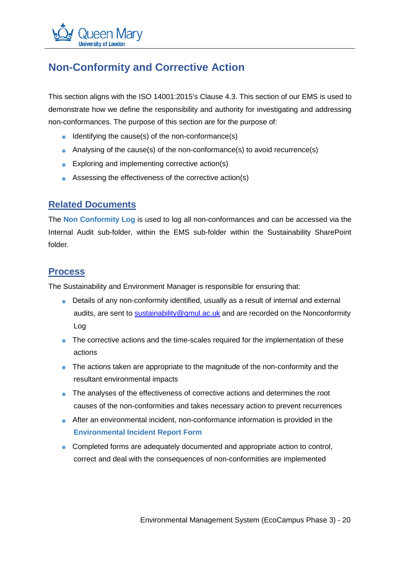

# <span id="page-23-0"></span>**Non-Conformity and Corrective Action**

This section aligns with the ISO 14001:2015's Clause 4.3. This section of our EMS is used to demonstrate how we define the responsibility and authority for investigating and addressing non-conformances. The purpose of this section are for the purpose of:

- Identifying the cause(s) of the non-conformance(s)
- Analysing of the cause(s) of the non-conformance(s) to avoid recurrence(s)
- Exploring and implementing corrective action(s)
- Assessing the effectiveness of the corrective action(s)

#### <span id="page-23-1"></span>**Related Documents**

The **Non Conformity Log** is used to log all non-conformances and can be accessed via the Internal Audit sub-folder, within the EMS sub-folder within the Sustainability SharePoint folder.

#### <span id="page-23-2"></span>**Process**

The Sustainability and Environment Manager is responsible for ensuring that:

- Details of any non-conformity identified, usually as a result of internal and external audits, are sent to [sustainability@qmul.ac.uk](mailto:sustainability@qmul.ac.uk) and are recorded on the Nonconformity Log
- The corrective actions and the time-scales required for the implementation of these actions
- The actions taken are appropriate to the magnitude of the non-conformity and the resultant environmental impacts
- The analyses of the effectiveness of corrective actions and determines the root causes of the non-conformities and takes necessary action to prevent recurrences
- After an environmental incident, non-conformance information is provided in the **Environmental Incident Report Form**
- Completed forms are adequately documented and appropriate action to control, correct and deal with the consequences of non-conformities are implemented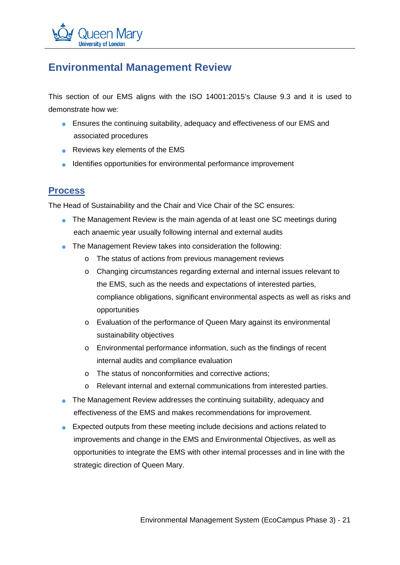

### <span id="page-24-0"></span>**Environmental Management Review**

This section of our EMS aligns with the ISO 14001:2015's Clause 9.3 and it is used to demonstrate how we:

- Ensures the continuing suitability, adequacy and effectiveness of our EMS and associated procedures
- Reviews key elements of the EMS
- Identifies opportunities for environmental performance improvement

### <span id="page-24-1"></span>**Process**

The Head of Sustainability and the Chair and Vice Chair of the SC ensures:

- The Management Review is the main agenda of at least one SC meetings during each anaemic year usually following internal and external audits
- The Management Review takes into consideration the following:
	- o The status of actions from previous management reviews
	- o Changing circumstances regarding external and internal issues relevant to the EMS, such as the needs and expectations of interested parties, compliance obligations, significant environmental aspects as well as risks and opportunities
	- o Evaluation of the performance of Queen Mary against its environmental sustainability objectives
	- o Environmental performance information, such as the findings of recent internal audits and compliance evaluation
	- o The status of nonconformities and corrective actions;
	- o Relevant internal and external communications from interested parties.
- The Management Review addresses the continuing suitability, adequacy and effectiveness of the EMS and makes recommendations for improvement.
- Expected outputs from these meeting include decisions and actions related to improvements and change in the EMS and Environmental Objectives, as well as opportunities to integrate the EMS with other internal processes and in line with the strategic direction of Queen Mary.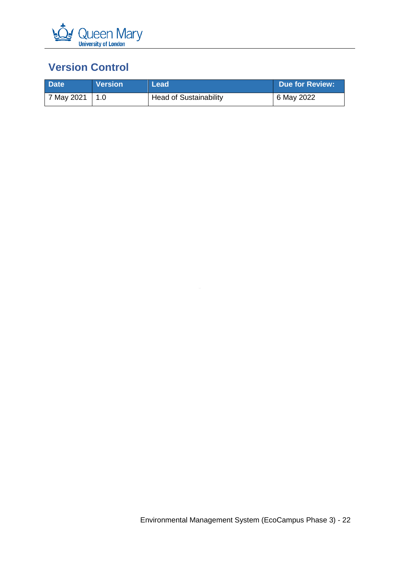

# <span id="page-25-0"></span>**Version Control**

| <b>Date</b> | <b>Version</b> | ⊾Lead∖                 | <b>Due for Review:</b> |
|-------------|----------------|------------------------|------------------------|
| 7 May 2021  |                | Head of Sustainability | 6 May 2022             |